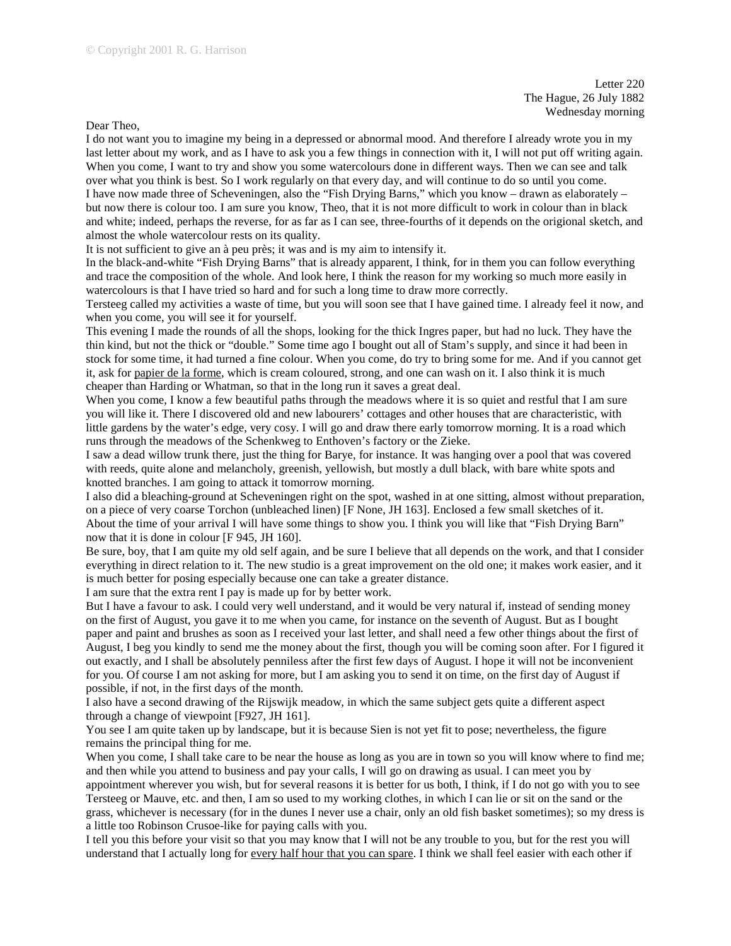Letter 220 The Hague, 26 July 1882 Wednesday morning

Dear Theo,

I do not want you to imagine my being in a depressed or abnormal mood. And therefore I already wrote you in my last letter about my work, and as I have to ask you a few things in connection with it, I will not put off writing again. When you come, I want to try and show you some watercolours done in different ways. Then we can see and talk over what you think is best. So I work regularly on that every day, and will continue to do so until you come. I have now made three of Scheveningen, also the "Fish Drying Barns," which you know – drawn as elaborately – but now there is colour too. I am sure you know, Theo, that it is not more difficult to work in colour than in black and white; indeed, perhaps the reverse, for as far as I can see, three-fourths of it depends on the origional sketch, and almost the whole watercolour rests on its quality.

It is not sufficient to give an à peu près; it was and is my aim to intensify it.

In the black-and-white "Fish Drying Barns" that is already apparent, I think, for in them you can follow everything and trace the composition of the whole. And look here, I think the reason for my working so much more easily in watercolours is that I have tried so hard and for such a long time to draw more correctly.

Tersteeg called my activities a waste of time, but you will soon see that I have gained time. I already feel it now, and when you come, you will see it for yourself.

This evening I made the rounds of all the shops, looking for the thick Ingres paper, but had no luck. They have the thin kind, but not the thick or "double." Some time ago I bought out all of Stam's supply, and since it had been in stock for some time, it had turned a fine colour. When you come, do try to bring some for me. And if you cannot get it, ask for papier de la forme, which is cream coloured, strong, and one can wash on it. I also think it is much cheaper than Harding or Whatman, so that in the long run it saves a great deal.

When you come, I know a few beautiful paths through the meadows where it is so quiet and restful that I am sure you will like it. There I discovered old and new labourers' cottages and other houses that are characteristic, with little gardens by the water's edge, very cosy. I will go and draw there early tomorrow morning. It is a road which runs through the meadows of the Schenkweg to Enthoven's factory or the Zieke.

I saw a dead willow trunk there, just the thing for Barye, for instance. It was hanging over a pool that was covered with reeds, quite alone and melancholy, greenish, yellowish, but mostly a dull black, with bare white spots and knotted branches. I am going to attack it tomorrow morning.

I also did a bleaching-ground at Scheveningen right on the spot, washed in at one sitting, almost without preparation, on a piece of very coarse Torchon (unbleached linen) [F None, JH 163]. Enclosed a few small sketches of it. About the time of your arrival I will have some things to show you. I think you will like that "Fish Drying Barn" now that it is done in colour [F 945, JH 160].

Be sure, boy, that I am quite my old self again, and be sure I believe that all depends on the work, and that I consider everything in direct relation to it. The new studio is a great improvement on the old one; it makes work easier, and it is much better for posing especially because one can take a greater distance.

I am sure that the extra rent I pay is made up for by better work.

But I have a favour to ask. I could very well understand, and it would be very natural if, instead of sending money on the first of August, you gave it to me when you came, for instance on the seventh of August. But as I bought paper and paint and brushes as soon as I received your last letter, and shall need a few other things about the first of August, I beg you kindly to send me the money about the first, though you will be coming soon after. For I figured it out exactly, and I shall be absolutely penniless after the first few days of August. I hope it will not be inconvenient for you. Of course I am not asking for more, but I am asking you to send it on time, on the first day of August if possible, if not, in the first days of the month.

I also have a second drawing of the Rijswijk meadow, in which the same subject gets quite a different aspect through a change of viewpoint [F927, JH 161].

You see I am quite taken up by landscape, but it is because Sien is not yet fit to pose; nevertheless, the figure remains the principal thing for me.

When you come, I shall take care to be near the house as long as you are in town so you will know where to find me; and then while you attend to business and pay your calls, I will go on drawing as usual. I can meet you by appointment wherever you wish, but for several reasons it is better for us both, I think, if I do not go with you to see Tersteeg or Mauve, etc. and then, I am so used to my working clothes, in which I can lie or sit on the sand or the grass, whichever is necessary (for in the dunes I never use a chair, only an old fish basket sometimes); so my dress is a little too Robinson Crusoe-like for paying calls with you.

I tell you this before your visit so that you may know that I will not be any trouble to you, but for the rest you will understand that I actually long for every half hour that you can spare. I think we shall feel easier with each other if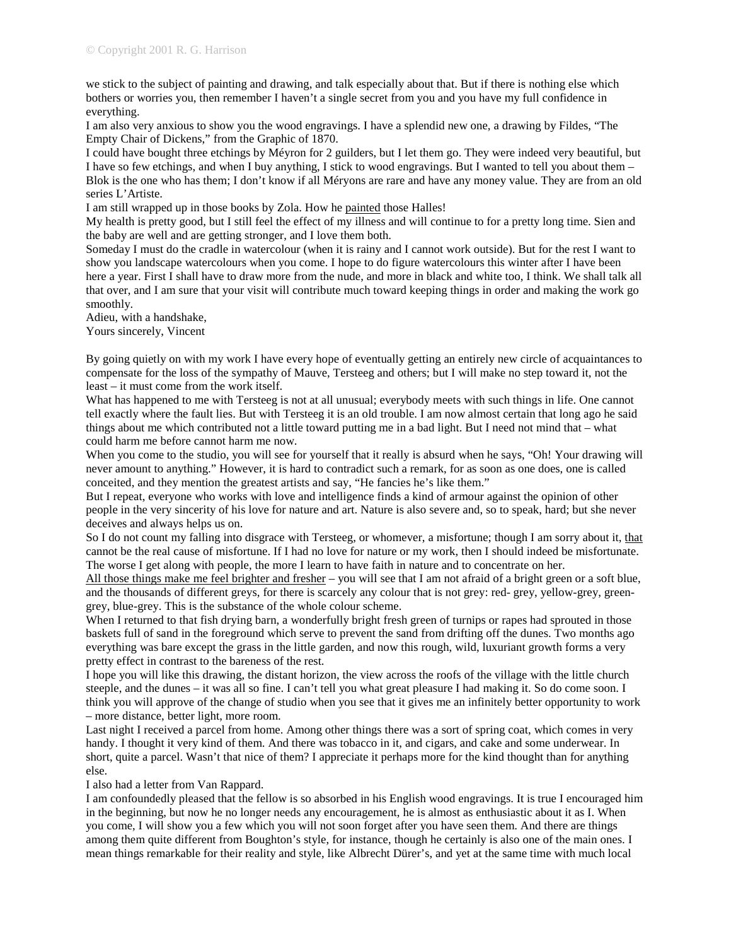we stick to the subject of painting and drawing, and talk especially about that. But if there is nothing else which bothers or worries you, then remember I haven't a single secret from you and you have my full confidence in everything.

I am also very anxious to show you the wood engravings. I have a splendid new one, a drawing by Fildes, "The Empty Chair of Dickens," from the Graphic of 1870.

I could have bought three etchings by Méyron for 2 guilders, but I let them go. They were indeed very beautiful, but I have so few etchings, and when I buy anything, I stick to wood engravings. But I wanted to tell you about them – Blok is the one who has them; I don't know if all Méryons are rare and have any money value. They are from an old series L'Artiste.

I am still wrapped up in those books by Zola. How he painted those Halles!

My health is pretty good, but I still feel the effect of my illness and will continue to for a pretty long time. Sien and the baby are well and are getting stronger, and I love them both.

Someday I must do the cradle in watercolour (when it is rainy and I cannot work outside). But for the rest I want to show you landscape watercolours when you come. I hope to do figure watercolours this winter after I have been here a year. First I shall have to draw more from the nude, and more in black and white too, I think. We shall talk all that over, and I am sure that your visit will contribute much toward keeping things in order and making the work go smoothly.

Adieu, with a handshake,

Yours sincerely, Vincent

By going quietly on with my work I have every hope of eventually getting an entirely new circle of acquaintances to compensate for the loss of the sympathy of Mauve, Tersteeg and others; but I will make no step toward it, not the least – it must come from the work itself.

What has happened to me with Tersteeg is not at all unusual; everybody meets with such things in life. One cannot tell exactly where the fault lies. But with Tersteeg it is an old trouble. I am now almost certain that long ago he said things about me which contributed not a little toward putting me in a bad light. But I need not mind that – what could harm me before cannot harm me now.

When you come to the studio, you will see for yourself that it really is absurd when he says, "Oh! Your drawing will never amount to anything." However, it is hard to contradict such a remark, for as soon as one does, one is called conceited, and they mention the greatest artists and say, "He fancies he's like them."

But I repeat, everyone who works with love and intelligence finds a kind of armour against the opinion of other people in the very sincerity of his love for nature and art. Nature is also severe and, so to speak, hard; but she never deceives and always helps us on.

So I do not count my falling into disgrace with Tersteeg, or whomever, a misfortune; though I am sorry about it, that cannot be the real cause of misfortune. If I had no love for nature or my work, then I should indeed be misfortunate. The worse I get along with people, the more I learn to have faith in nature and to concentrate on her.

All those things make me feel brighter and fresher – you will see that I am not afraid of a bright green or a soft blue, and the thousands of different greys, for there is scarcely any colour that is not grey: red- grey, yellow-grey, greengrey, blue-grey. This is the substance of the whole colour scheme.

When I returned to that fish drying barn, a wonderfully bright fresh green of turnips or rapes had sprouted in those baskets full of sand in the foreground which serve to prevent the sand from drifting off the dunes. Two months ago everything was bare except the grass in the little garden, and now this rough, wild, luxuriant growth forms a very pretty effect in contrast to the bareness of the rest.

I hope you will like this drawing, the distant horizon, the view across the roofs of the village with the little church steeple, and the dunes – it was all so fine. I can't tell you what great pleasure I had making it. So do come soon. I think you will approve of the change of studio when you see that it gives me an infinitely better opportunity to work – more distance, better light, more room.

Last night I received a parcel from home. Among other things there was a sort of spring coat, which comes in very handy. I thought it very kind of them. And there was tobacco in it, and cigars, and cake and some underwear. In short, quite a parcel. Wasn't that nice of them? I appreciate it perhaps more for the kind thought than for anything else.

I also had a letter from Van Rappard.

I am confoundedly pleased that the fellow is so absorbed in his English wood engravings. It is true I encouraged him in the beginning, but now he no longer needs any encouragement, he is almost as enthusiastic about it as I. When you come, I will show you a few which you will not soon forget after you have seen them. And there are things among them quite different from Boughton's style, for instance, though he certainly is also one of the main ones. I mean things remarkable for their reality and style, like Albrecht Dürer's, and yet at the same time with much local